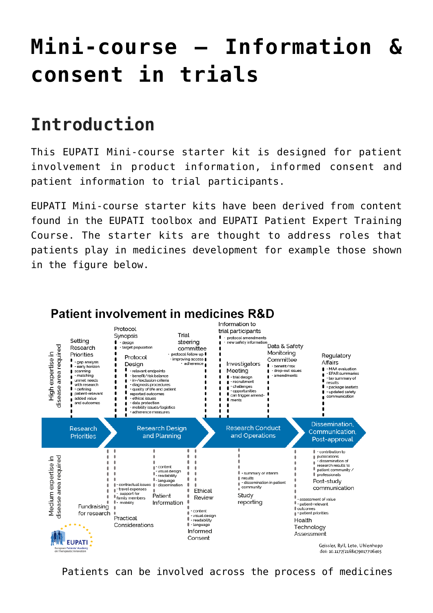# **[Mini-course – Information &](https://toolbox.eupati.eu/resources/mini-course-information-consent-in-trials/) [consent in trials](https://toolbox.eupati.eu/resources/mini-course-information-consent-in-trials/)**

# **Introduction**

This EUPATI Mini-course starter kit is designed for patient involvement in product information, informed consent and patient information to trial participants.

EUPATI Mini-course starter kits have been derived from content found in the EUPATI toolbox and EUPATI Patient Expert Training Course. The starter kits are thought to address roles that patients play in medicines development for example those shown in the figure below.



Patients can be involved across the process of medicines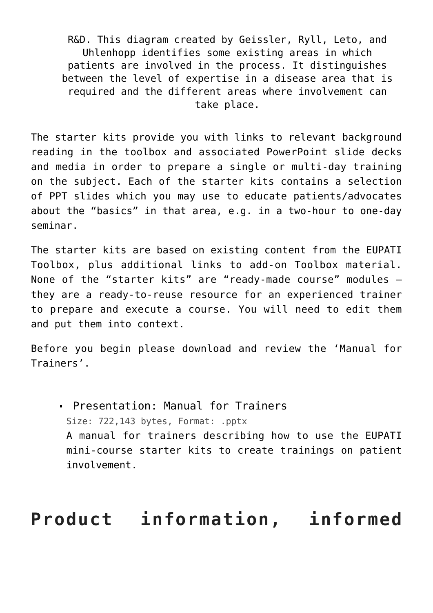R&D. This diagram created by Geissler, Ryll, Leto, and Uhlenhopp identifies some existing areas in which patients are involved in the process. It distinguishes between the level of expertise in a disease area that is required and the different areas where involvement can take place.

The starter kits provide you with links to relevant background reading in the toolbox and associated PowerPoint slide decks and media in order to prepare a single or multi-day training on the subject. Each of the starter kits contains a selection of PPT slides which you may use to educate patients/advocates about the "basics" in that area, e.g. in a two-hour to one-day seminar.

The starter kits are based on existing content from the EUPATI Toolbox, plus additional links to add-on Toolbox material. None of the "starter kits" are "ready-made course" modules – they are a ready-to-reuse resource for an experienced trainer to prepare and execute a course. You will need to edit them and put them into context.

Before you begin please download and review the 'Manual for Trainers'.

[Presentation: Manual for Trainers](https://toolbox.eupati.eu/wp-content/uploads/sites/4/2020/07/Manual_for_Trainers-V1.2_EN-1.pptx) Size: 722,143 bytes, Format: .pptx A manual for trainers describing how to use the EUPATI mini-course starter kits to create trainings on patient involvement.

### **Product information, informed**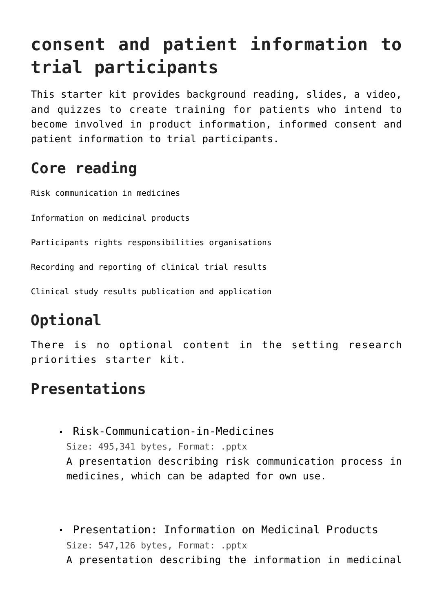# **consent and patient information to trial participants**

This starter kit provides background reading, slides, a video, and quizzes to create training for patients who intend to become involved in product information, informed consent and patient information to trial participants.

### **Core reading**

[Risk communication in medicines](https://toolbox.eupati.eu/resources/risk-communication-in-medicines/)

[Information on medicinal products](https://toolbox.eupati.eu/resources/information-on-medicinal-products/)

[Participants rights responsibilities organisations](https://toolbox.eupati.eu/resources/participants-rights-responsibilities-organisations/)

[Recording and reporting of clinical trial results](https://toolbox.eupati.eu/resources/recording-and-reporting-clinical-trial-results/)

[Clinical study results publication and application](https://toolbox.eupati.eu/resources/clinical-study-results-publication/)

## **Optional**

There is no optional content in the setting research priorities starter kit.

#### **Presentations**

- [Risk-Communication-in-Medicines](https://toolbox.eupati.eu/wp-content/uploads/sites/4/2020/07/Risk-Communication-in-Medicines.pptx) Size: 495,341 bytes, Format: .pptx A presentation describing risk communication process in medicines, which can be adapted for own use.
- [Presentation: Information on Medicinal Products](https://toolbox.eupati.eu/wp-content/uploads/sites/4/2020/07/Information-on-Medicinal-Products.pptx) Size: 547,126 bytes, Format: .pptx A presentation describing the information in medicinal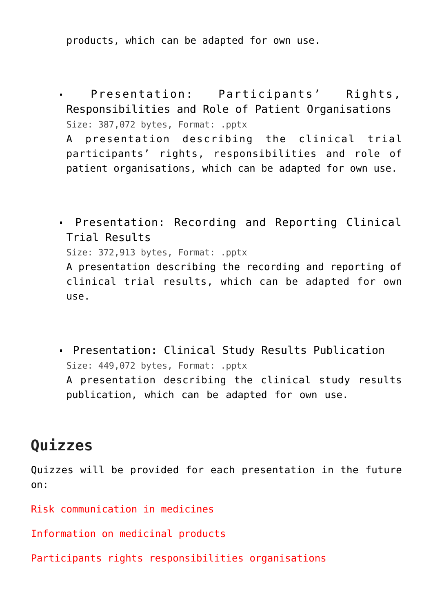products, which can be adapted for own use.

[Presentation: Participants' Rights,](https://toolbox.eupati.eu/wp-content/uploads/sites/4/2020/07/Participants-Rights-Responsibilities-Organisations.pptx) [Responsibilities and Role of Patient Organisations](https://toolbox.eupati.eu/wp-content/uploads/sites/4/2020/07/Participants-Rights-Responsibilities-Organisations.pptx) Size: 387,072 bytes, Format: .pptx

A presentation describing the clinical trial participants' rights, responsibilities and role of patient organisations, which can be adapted for own use.

[Presentation: Recording and Reporting Clinical](https://toolbox.eupati.eu/wp-content/uploads/sites/4/2020/07/Recording-and-Reporting-Clinical-Trial-Results.pptx) [Trial Results](https://toolbox.eupati.eu/wp-content/uploads/sites/4/2020/07/Recording-and-Reporting-Clinical-Trial-Results.pptx) Size: 372,913 bytes, Format: .pptx A presentation describing the recording and reporting of clinical trial results, which can be adapted for own

use.

[Presentation: Clinical Study Results Publication](https://toolbox.eupati.eu/wp-content/uploads/sites/4/2020/07/Clinical-Study-Results-Publication-and-Application_v1.1_EN.pptx) Size: 449,072 bytes, Format: .pptx

A presentation describing the clinical study results publication, which can be adapted for own use.

#### **Quizzes**

Quizzes will be provided for each presentation in the future on:

Risk communication in medicines

Information on medicinal products

Participants rights responsibilities organisations